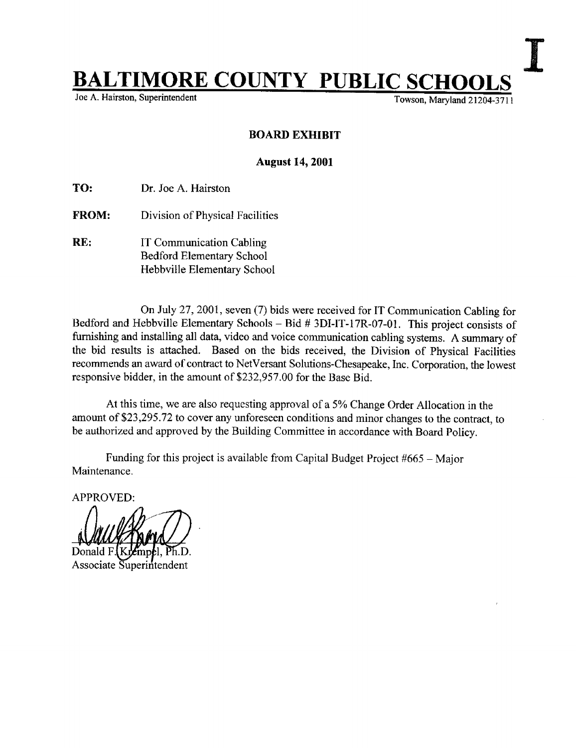## **BALTIMORE COUNTY PUBLIC SCHOOLS**<br>Joe A. Hairston, Superintendent<br>Towson, Maryland 21204-3711

Joe A. Hairston, Superintendent

## BOARD EXHIBIT

## August 14, 2001

TO: Dr. Joe A. Hairston

- FROM: Division of Physical Facilities
- RE: IT Communication Cabling Bedford Elementary School Hebbville Elementary School

On July 27, 2001, seven (7) bids were received for IT Communication Cabling for Bedford and Hebbville Elementary Schools - Bid # 3DI-IT-17R-07-O1 . This project consists of furnishing and installing all data, video and voice communication cabling systems. A summary of the bid results is attached. Based on the bids received, the Division of Physical Facilities recommends an award of contract to NetVersant Solutions-Chesapeake, Inc. Corporation, the lowest responsive bidder, in the amount of \$232,957 .00 for the Base Bid.

At this time, we are also requesting approval of <sup>a</sup> 5% Change Order Allocation in the amount of \$23,295.72 to cover any unforeseen conditions and minor changes to the contract, to be authorized and approved by the Building Committee in accordance with Board Policy.

Maintenance . Funding for this project is available from Capital Budget Project  $#665 -$ Major

APPROVED:

Associate Superintendent